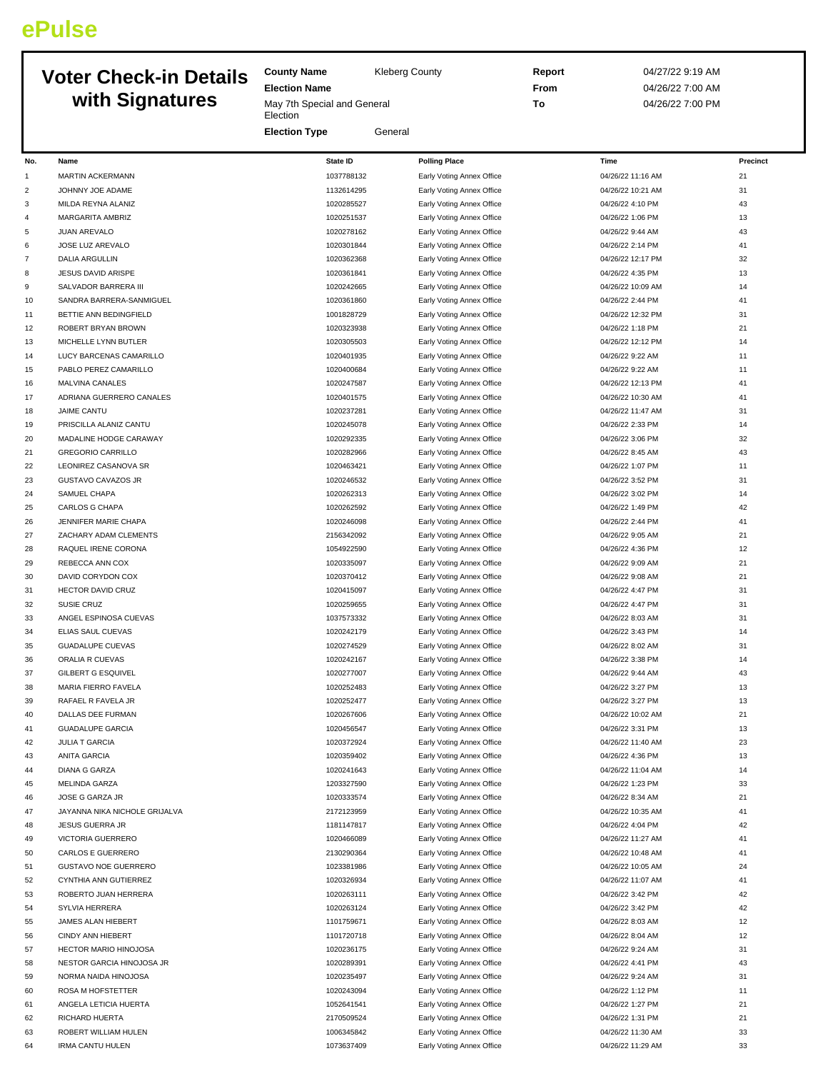## **ePulse**

## **Voter Check-in Details with Signatures**

**Election Name** May 7th Special and General **Election** 

**County Name** Kleberg County

**Election Type** General

**Report** 04/27/22 9:19 AM **From** 04/26/22 7:00 AM **To** 04/26/22 7:00 PM

| No.            | Name                                              | <b>State ID</b>          | <b>Polling Place</b>                                   | Time                                 | Precinct |
|----------------|---------------------------------------------------|--------------------------|--------------------------------------------------------|--------------------------------------|----------|
| $\mathbf{1}$   | MARTIN ACKERMANN                                  | 1037788132               | Early Voting Annex Office                              | 04/26/22 11:16 AM                    | 21       |
| $\overline{2}$ | JOHNNY JOE ADAME                                  | 1132614295               | Early Voting Annex Office                              | 04/26/22 10:21 AM                    | 31       |
| 3              | MILDA REYNA ALANIZ                                | 1020285527               | Early Voting Annex Office                              | 04/26/22 4:10 PM                     | 43       |
| $\overline{4}$ | MARGARITA AMBRIZ                                  | 1020251537               | Early Voting Annex Office                              | 04/26/22 1:06 PM                     | 13       |
| 5              | JUAN AREVALO                                      | 1020278162               | Early Voting Annex Office                              | 04/26/22 9:44 AM                     | 43       |
| 6              | JOSE LUZ AREVALO                                  | 1020301844               | Early Voting Annex Office                              | 04/26/22 2:14 PM                     | 41       |
| $\overline{7}$ | <b>DALIA ARGULLIN</b>                             | 1020362368               | Early Voting Annex Office                              | 04/26/22 12:17 PM                    | 32       |
| 8              | <b>JESUS DAVID ARISPE</b>                         | 1020361841               | Early Voting Annex Office                              | 04/26/22 4:35 PM                     | 13       |
| 9              | SALVADOR BARRERA III                              | 1020242665               | Early Voting Annex Office                              | 04/26/22 10:09 AM                    | 14       |
| 10             | SANDRA BARRERA-SANMIGUEL                          | 1020361860               | Early Voting Annex Office                              | 04/26/22 2:44 PM                     | 41       |
| 11             | BETTIE ANN BEDINGFIELD                            | 1001828729               | Early Voting Annex Office                              | 04/26/22 12:32 PM                    | 31       |
| 12             | ROBERT BRYAN BROWN                                | 1020323938               | Early Voting Annex Office                              | 04/26/22 1:18 PM                     | 21       |
| 13             | MICHELLE LYNN BUTLER                              | 1020305503               | Early Voting Annex Office                              | 04/26/22 12:12 PM                    | 14       |
| 14             | LUCY BARCENAS CAMARILLO                           | 1020401935               | Early Voting Annex Office                              | 04/26/22 9:22 AM                     | 11       |
| 15             | PABLO PEREZ CAMARILLO                             | 1020400684               | Early Voting Annex Office                              | 04/26/22 9:22 AM                     | 11       |
| 16             | <b>MALVINA CANALES</b>                            | 1020247587               | Early Voting Annex Office                              | 04/26/22 12:13 PM                    | 41       |
| 17             | ADRIANA GUERRERO CANALES                          | 1020401575               | Early Voting Annex Office                              | 04/26/22 10:30 AM                    | 41       |
| 18             | <b>JAIME CANTU</b>                                | 1020237281               | Early Voting Annex Office                              | 04/26/22 11:47 AM                    | 31       |
| 19             | PRISCILLA ALANIZ CANTU                            | 1020245078               | Early Voting Annex Office                              | 04/26/22 2:33 PM                     | 14       |
| 20             | MADALINE HODGE CARAWAY                            | 1020292335               | Early Voting Annex Office                              | 04/26/22 3:06 PM                     | 32       |
| 21             | <b>GREGORIO CARRILLO</b>                          | 1020282966               | Early Voting Annex Office                              | 04/26/22 8:45 AM                     | 43       |
| 22<br>23       | LEONIREZ CASANOVA SR<br><b>GUSTAVO CAVAZOS JR</b> | 1020463421<br>1020246532 | Early Voting Annex Office                              | 04/26/22 1:07 PM<br>04/26/22 3:52 PM | 11<br>31 |
| 24             | SAMUEL CHAPA                                      | 1020262313               | Early Voting Annex Office<br>Early Voting Annex Office | 04/26/22 3:02 PM                     | 14       |
| 25             | CARLOS G CHAPA                                    | 1020262592               | Early Voting Annex Office                              | 04/26/22 1:49 PM                     | 42       |
| 26             | JENNIFER MARIE CHAPA                              | 1020246098               | Early Voting Annex Office                              | 04/26/22 2:44 PM                     | 41       |
| 27             | ZACHARY ADAM CLEMENTS                             | 2156342092               | Early Voting Annex Office                              | 04/26/22 9:05 AM                     | 21       |
| 28             | RAQUEL IRENE CORONA                               | 1054922590               | Early Voting Annex Office                              | 04/26/22 4:36 PM                     | 12       |
| 29             | REBECCA ANN COX                                   | 1020335097               | Early Voting Annex Office                              | 04/26/22 9:09 AM                     | 21       |
| 30             | DAVID CORYDON COX                                 | 1020370412               | Early Voting Annex Office                              | 04/26/22 9:08 AM                     | 21       |
| 31             | <b>HECTOR DAVID CRUZ</b>                          | 1020415097               | Early Voting Annex Office                              | 04/26/22 4:47 PM                     | 31       |
| 32             | <b>SUSIE CRUZ</b>                                 | 1020259655               | Early Voting Annex Office                              | 04/26/22 4:47 PM                     | 31       |
| 33             | ANGEL ESPINOSA CUEVAS                             | 1037573332               | Early Voting Annex Office                              | 04/26/22 8:03 AM                     | 31       |
| 34             | ELIAS SAUL CUEVAS                                 | 1020242179               | Early Voting Annex Office                              | 04/26/22 3:43 PM                     | 14       |
| 35             | <b>GUADALUPE CUEVAS</b>                           | 1020274529               | Early Voting Annex Office                              | 04/26/22 8:02 AM                     | 31       |
| 36             | ORALIA R CUEVAS                                   | 1020242167               | Early Voting Annex Office                              | 04/26/22 3:38 PM                     | 14       |
| 37             | GILBERT G ESQUIVEL                                | 1020277007               | Early Voting Annex Office                              | 04/26/22 9:44 AM                     | 43       |
| 38             | MARIA FIERRO FAVELA                               | 1020252483               | Early Voting Annex Office                              | 04/26/22 3:27 PM                     | 13       |
| 39             | RAFAEL R FAVELA JR                                | 1020252477               | Early Voting Annex Office                              | 04/26/22 3:27 PM                     | 13       |
| 40             | DALLAS DEE FURMAN                                 | 1020267606               | Early Voting Annex Office                              | 04/26/22 10:02 AM                    | 21       |
| 41             | <b>GUADALUPE GARCIA</b>                           | 1020456547               | Early Voting Annex Office                              | 04/26/22 3:31 PM                     | 13       |
| 42             | <b>JULIA T GARCIA</b>                             | 1020372924               | Early Voting Annex Office                              | 04/26/22 11:40 AM                    | 23       |
| 43             | <b>ANITA GARCIA</b>                               | 1020359402               | Early Voting Annex Office                              | 04/26/22 4:36 PM                     | 13       |
| 44             | <b>DIANA G GARZA</b>                              | 1020241643               | Early Voting Annex Office                              | 04/26/22 11:04 AM                    | 14       |
| 45             | <b>MELINDA GARZA</b>                              | 1203327590               | Early Voting Annex Office                              | 04/26/22 1:23 PM                     | 33       |
| 46             | JOSE G GARZA JR                                   | 1020333574               | Early Voting Annex Office                              | 04/26/22 8:34 AM                     | 21       |
| 47             | JAYANNA NIKA NICHOLE GRIJALVA                     | 2172123959               | Early Voting Annex Office                              | 04/26/22 10:35 AM                    | 41       |
| 48             | JESUS GUERRA JR                                   | 1181147817               | Early Voting Annex Office                              | 04/26/22 4:04 PM                     | 42       |
| 49             | VICTORIA GUERRERO                                 | 1020466089               | Early Voting Annex Office                              | 04/26/22 11:27 AM                    | 41       |
| 50             | CARLOS E GUERRERO                                 | 2130290364               | Early Voting Annex Office                              | 04/26/22 10:48 AM                    | 41       |
| 51             | <b>GUSTAVO NOE GUERRERO</b>                       | 1023381986               | Early Voting Annex Office                              | 04/26/22 10:05 AM                    | 24       |
| 52             | CYNTHIA ANN GUTIERREZ                             | 1020326934               | Early Voting Annex Office                              | 04/26/22 11:07 AM                    | 41       |
| 53             | ROBERTO JUAN HERRERA                              | 1020263111               | Early Voting Annex Office                              | 04/26/22 3:42 PM                     | 42       |
| 54             | SYLVIA HERRERA                                    | 1020263124               | Early Voting Annex Office                              | 04/26/22 3:42 PM                     | 42       |
| 55             | JAMES ALAN HIEBERT                                | 1101759671               | Early Voting Annex Office                              | 04/26/22 8:03 AM                     | 12       |
| 56             | CINDY ANN HIEBERT                                 | 1101720718               | Early Voting Annex Office                              | 04/26/22 8:04 AM                     | 12<br>31 |
| 57             | HECTOR MARIO HINOJOSA                             | 1020236175<br>1020289391 | Early Voting Annex Office                              | 04/26/22 9:24 AM                     | 43       |
| 58<br>59       | NESTOR GARCIA HINOJOSA JR<br>NORMA NAIDA HINOJOSA | 1020235497               | Early Voting Annex Office<br>Early Voting Annex Office | 04/26/22 4:41 PM<br>04/26/22 9:24 AM | 31       |
| 60             | ROSA M HOFSTETTER                                 | 1020243094               | Early Voting Annex Office                              | 04/26/22 1:12 PM                     | 11       |
| 61             | ANGELA LETICIA HUERTA                             | 1052641541               | Early Voting Annex Office                              | 04/26/22 1:27 PM                     | 21       |
| 62             | <b>RICHARD HUERTA</b>                             | 2170509524               | Early Voting Annex Office                              | 04/26/22 1:31 PM                     | 21       |
| 63             | ROBERT WILLIAM HULEN                              | 1006345842               | Early Voting Annex Office                              | 04/26/22 11:30 AM                    | 33       |
| 64             | <b>IRMA CANTU HULEN</b>                           | 1073637409               | Early Voting Annex Office                              | 04/26/22 11:29 AM                    | 33       |
|                |                                                   |                          |                                                        |                                      |          |